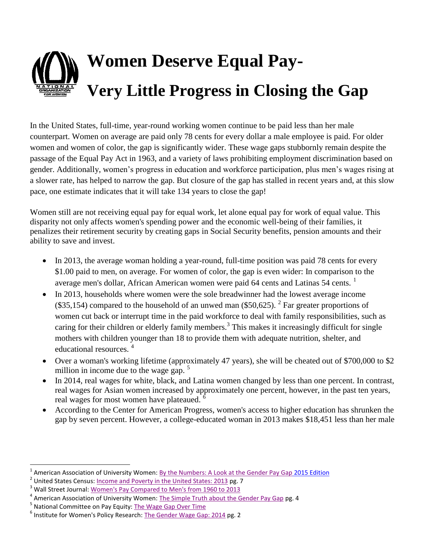## **Women Deserve Equal Pay-Very Little Progress in Closing the Gap**

In the United States, full-time, year-round working women continue to be paid less than her male counterpart. Women on average are paid only 78 cents for every dollar a male employee is paid. For older women and women of color, the gap is significantly wider. These wage gaps stubbornly remain despite the passage of the Equal Pay Act in 1963, and a variety of laws prohibiting employment discrimination based on gender. Additionally, women's progress in education and workforce participation, plus men's wages rising at a slower rate, has helped to narrow the gap. But closure of the gap has stalled in recent years and, at this slow pace, one estimate indicates that it will take 134 years to close the gap!

Women still are not receiving equal pay for equal work, let alone equal pay for work of equal value. This disparity not only affects women's spending power and the economic well-being of their families, it penalizes their retirement security by creating gaps in Social Security benefits, pension amounts and their ability to save and invest.

- In 2013, the average woman holding a year-round, full-time position was paid 78 cents for every \$1.00 paid to men, on average. For women of color, the gap is even wider: In comparison to the average men's dollar, African American women were paid 64 cents and Latinas 54 cents.<sup>1</sup>
- In 2013, households where women were the sole breadwinner had the lowest average income (\$35,154) compared to the household of an unwed man (\$50,625). <sup>2</sup> Far greater proportions of women cut back or interrupt time in the paid workforce to deal with family responsibilities, such as caring for their children or elderly family members.<sup>3</sup> This makes it increasingly difficult for single mothers with children younger than 18 to provide them with adequate nutrition, shelter, and educational resources.<sup>4</sup>
- Over a woman's working lifetime (approximately 47 years), she will be cheated out of \$700,000 to \$2 million in income due to the wage gap.  $5$
- In 2014, real wages for white, black, and Latina women changed by less than one percent. In contrast, real wages for Asian women increased by approximately one percent, however, in the past ten years, real wages for most women have plateaued. <sup>6</sup>
- According to the Center for American Progress, women's access to higher education has shrunken the gap by seven percent. However, a college-educated woman in 2013 makes \$18,451 less than her male

 $\overline{\phantom{a}}$ 

<sup>&</sup>lt;sup>1</sup> American Association of University Women: <u>By the Numbers: A Look at the Gender Pay Gap 2015 Edition</u>

<sup>&</sup>lt;sup>2</sup> United States Census: <u>Income and Poverty in the United States: 2013</u> pg. 7

<sup>&</sup>lt;sup>3</sup> Wall Street Journal: [Women's Pay Compared to Men's from 1960 to 2013](http://blogs.wsj.com/numbers/womens-pay-compared-to-mens-from-1960-to-2013-1774/)

<sup>&</sup>lt;sup>4</sup> American Association of University Women[: The Simple Truth about the Gender Pay Gap](http://www.aauw.org/files/2015/02/The-Simple-Truth_Spring-2015.pdf) pg. 4

<sup>&</sup>lt;sup>5</sup> National Committee on Pay Equity[: The Wage Gap Over Time](http://www.pay-equity.org/info-time.html)

<sup>&</sup>lt;sup>6</sup> Institute for Women's Policy Research: [The Gender Wage Gap: 2014](http://www.iwpr.org/publications/pubs/the-gender-wage-gap-2014-earnings-differences-by-race-and-ethnicity/at_download/file) pg. 2